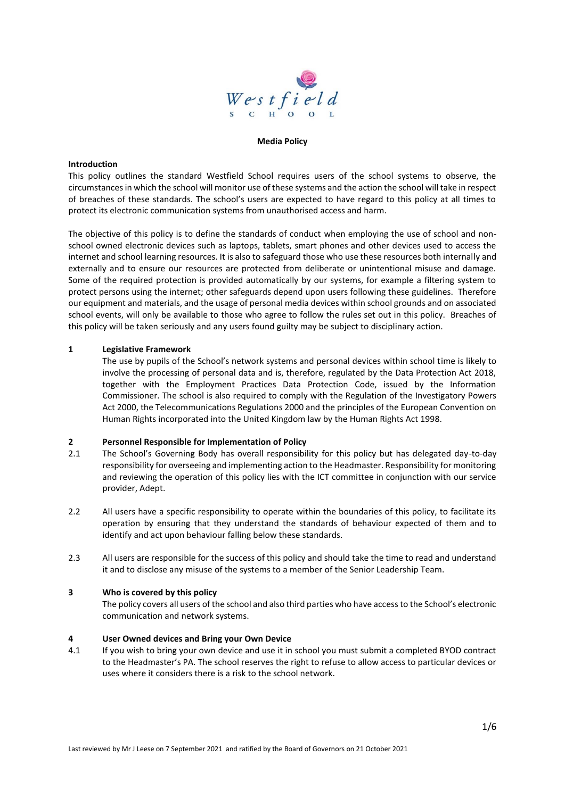

### **Media Policy**

### **Introduction**

This policy outlines the standard Westfield School requires users of the school systems to observe, the circumstances in which the school will monitor use of these systems and the action the school will take in respect of breaches of these standards. The school's users are expected to have regard to this policy at all times to protect its electronic communication systems from unauthorised access and harm.

The objective of this policy is to define the standards of conduct when employing the use of school and nonschool owned electronic devices such as laptops, tablets, smart phones and other devices used to access the internet and school learning resources. It is also to safeguard those who use these resources both internally and externally and to ensure our resources are protected from deliberate or unintentional misuse and damage. Some of the required protection is provided automatically by our systems, for example a filtering system to protect persons using the internet; other safeguards depend upon users following these guidelines. Therefore our equipment and materials, and the usage of personal media devices within school grounds and on associated school events, will only be available to those who agree to follow the rules set out in this policy. Breaches of this policy will be taken seriously and any users found guilty may be subject to disciplinary action.

## **1 Legislative Framework**

The use by pupils of the School's network systems and personal devices within school time is likely to involve the processing of personal data and is, therefore, regulated by the Data Protection Act 2018, together with the Employment Practices Data Protection Code, issued by the Information Commissioner. The school is also required to comply with the Regulation of the Investigatory Powers Act 2000, the Telecommunications Regulations 2000 and the principles of the European Convention on Human Rights incorporated into the United Kingdom law by the Human Rights Act 1998.

## **2 Personnel Responsible for Implementation of Policy**

- 2.1 The School's Governing Body has overall responsibility for this policy but has delegated day-to-day responsibility for overseeing and implementing action to the Headmaster. Responsibility for monitoring and reviewing the operation of this policy lies with the ICT committee in conjunction with our service provider, Adept.
- 2.2 All users have a specific responsibility to operate within the boundaries of this policy, to facilitate its operation by ensuring that they understand the standards of behaviour expected of them and to identify and act upon behaviour falling below these standards.
- 2.3 All users are responsible for the success of this policy and should take the time to read and understand it and to disclose any misuse of the systems to a member of the Senior Leadership Team.

### **3 Who is covered by this policy**

The policy covers all users of the school and also third parties who have access to the School's electronic communication and network systems.

### **4 User Owned devices and Bring your Own Device**

4.1 If you wish to bring your own device and use it in school you must submit a completed BYOD contract to the Headmaster's PA. The school reserves the right to refuse to allow access to particular devices or uses where it considers there is a risk to the school network.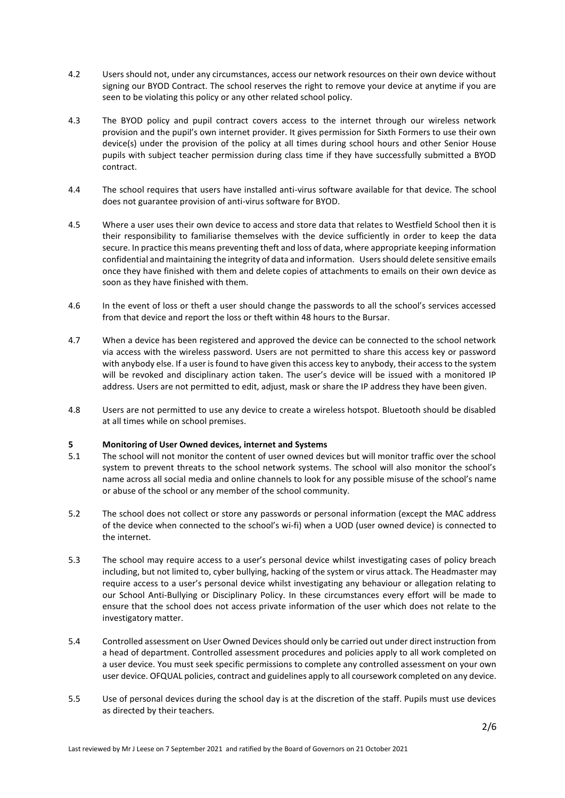- 4.2 Users should not, under any circumstances, access our network resources on their own device without signing our BYOD Contract. The school reserves the right to remove your device at anytime if you are seen to be violating this policy or any other related school policy.
- 4.3 The BYOD policy and pupil contract covers access to the internet through our wireless network provision and the pupil's own internet provider. It gives permission for Sixth Formers to use their own device(s) under the provision of the policy at all times during school hours and other Senior House pupils with subject teacher permission during class time if they have successfully submitted a BYOD contract.
- 4.4 The school requires that users have installed anti-virus software available for that device. The school does not guarantee provision of anti-virus software for BYOD.
- 4.5 Where a user uses their own device to access and store data that relates to Westfield School then it is their responsibility to familiarise themselves with the device sufficiently in order to keep the data secure. In practice this means preventing theft and loss of data, where appropriate keeping information confidential and maintaining the integrity of data and information. Users should delete sensitive emails once they have finished with them and delete copies of attachments to emails on their own device as soon as they have finished with them.
- 4.6 In the event of loss or theft a user should change the passwords to all the school's services accessed from that device and report the loss or theft within 48 hours to the Bursar.
- 4.7 When a device has been registered and approved the device can be connected to the school network via access with the wireless password. Users are not permitted to share this access key or password with anybody else. If a user is found to have given this access key to anybody, their access to the system will be revoked and disciplinary action taken. The user's device will be issued with a monitored IP address. Users are not permitted to edit, adjust, mask or share the IP address they have been given.
- 4.8 Users are not permitted to use any device to create a wireless hotspot. Bluetooth should be disabled at all times while on school premises.

## **5 Monitoring of User Owned devices, internet and Systems**

- 5.1 The school will not monitor the content of user owned devices but will monitor traffic over the school system to prevent threats to the school network systems. The school will also monitor the school's name across all social media and online channels to look for any possible misuse of the school's name or abuse of the school or any member of the school community.
- 5.2 The school does not collect or store any passwords or personal information (except the MAC address of the device when connected to the school's wi-fi) when a UOD (user owned device) is connected to the internet.
- 5.3 The school may require access to a user's personal device whilst investigating cases of policy breach including, but not limited to, cyber bullying, hacking of the system or virus attack. The Headmaster may require access to a user's personal device whilst investigating any behaviour or allegation relating to our School Anti-Bullying or Disciplinary Policy. In these circumstances every effort will be made to ensure that the school does not access private information of the user which does not relate to the investigatory matter.
- 5.4 Controlled assessment on User Owned Devices should only be carried out under direct instruction from a head of department. Controlled assessment procedures and policies apply to all work completed on a user device. You must seek specific permissions to complete any controlled assessment on your own user device. OFQUAL policies, contract and guidelines apply to all coursework completed on any device.
- 5.5 Use of personal devices during the school day is at the discretion of the staff. Pupils must use devices as directed by their teachers.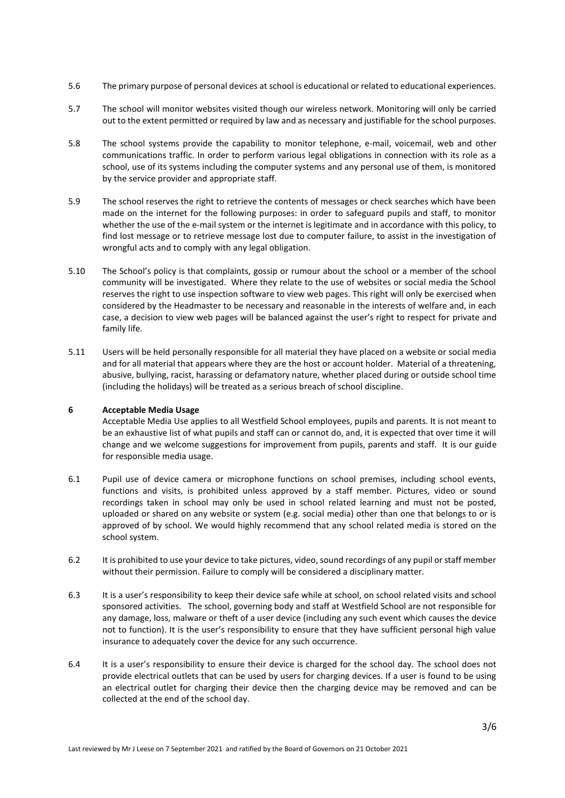- 5.6 The primary purpose of personal devices at school is educational or related to educational experiences.
- 5.7 The school will monitor websites visited though our wireless network. Monitoring will only be carried out to the extent permitted or required by law and as necessary and justifiable for the school purposes.
- 5.8 The school systems provide the capability to monitor telephone, e-mail, voicemail, web and other communications traffic. In order to perform various legal obligations in connection with its role as a school, use of its systems including the computer systems and any personal use of them, is monitored by the service provider and appropriate staff.
- 5.9 The school reserves the right to retrieve the contents of messages or check searches which have been made on the internet for the following purposes: in order to safeguard pupils and staff, to monitor whether the use of the e-mail system or the internet is legitimate and in accordance with this policy, to find lost message or to retrieve message lost due to computer failure, to assist in the investigation of wrongful acts and to comply with any legal obligation.
- 5.10 The School's policy is that complaints, gossip or rumour about the school or a member of the school community will be investigated. Where they relate to the use of websites or social media the School reserves the right to use inspection software to view web pages. This right will only be exercised when considered by the Headmaster to be necessary and reasonable in the interests of welfare and, in each case, a decision to view web pages will be balanced against the user's right to respect for private and family life.
- 5.11 Users will be held personally responsible for all material they have placed on a website or social media and for all material that appears where they are the host or account holder. Material of a threatening, abusive, bullying, racist, harassing or defamatory nature, whether placed during or outside school time (including the holidays) will be treated as a serious breach of school discipline.

### **6 Acceptable Media Usage**

Acceptable Media Use applies to all Westfield School employees, pupils and parents. It is not meant to be an exhaustive list of what pupils and staff can or cannot do, and, it is expected that over time it will change and we welcome suggestions for improvement from pupils, parents and staff. It is our guide for responsible media usage.

- 6.1 Pupil use of device camera or microphone functions on school premises, including school events, functions and visits, is prohibited unless approved by a staff member. Pictures, video or sound recordings taken in school may only be used in school related learning and must not be posted, uploaded or shared on any website or system (e.g. social media) other than one that belongs to or is approved of by school. We would highly recommend that any school related media is stored on the school system.
- 6.2 It is prohibited to use your device to take pictures, video, sound recordings of any pupil or staff member without their permission. Failure to comply will be considered a disciplinary matter.
- 6.3 It is a user's responsibility to keep their device safe while at school, on school related visits and school sponsored activities. The school, governing body and staff at Westfield School are not responsible for any damage, loss, malware or theft of a user device (including any such event which causes the device not to function). It is the user's responsibility to ensure that they have sufficient personal high value insurance to adequately cover the device for any such occurrence.
- 6.4 It is a user's responsibility to ensure their device is charged for the school day. The school does not provide electrical outlets that can be used by users for charging devices. If a user is found to be using an electrical outlet for charging their device then the charging device may be removed and can be collected at the end of the school day.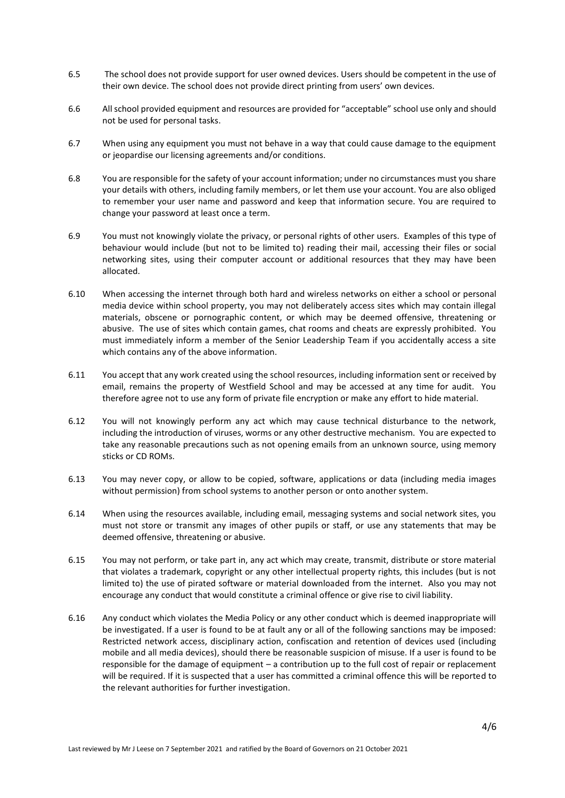- 6.5 The school does not provide support for user owned devices. Users should be competent in the use of their own device. The school does not provide direct printing from users' own devices.
- 6.6 All school provided equipment and resources are provided for "acceptable" school use only and should not be used for personal tasks.
- 6.7 When using any equipment you must not behave in a way that could cause damage to the equipment or jeopardise our licensing agreements and/or conditions.
- 6.8 You are responsible for the safety of your account information; under no circumstances must you share your details with others, including family members, or let them use your account. You are also obliged to remember your user name and password and keep that information secure. You are required to change your password at least once a term.
- 6.9 You must not knowingly violate the privacy, or personal rights of other users. Examples of this type of behaviour would include (but not to be limited to) reading their mail, accessing their files or social networking sites, using their computer account or additional resources that they may have been allocated.
- 6.10 When accessing the internet through both hard and wireless networks on either a school or personal media device within school property, you may not deliberately access sites which may contain illegal materials, obscene or pornographic content, or which may be deemed offensive, threatening or abusive. The use of sites which contain games, chat rooms and cheats are expressly prohibited. You must immediately inform a member of the Senior Leadership Team if you accidentally access a site which contains any of the above information.
- 6.11 You accept that any work created using the school resources, including information sent or received by email, remains the property of Westfield School and may be accessed at any time for audit. You therefore agree not to use any form of private file encryption or make any effort to hide material.
- 6.12 You will not knowingly perform any act which may cause technical disturbance to the network, including the introduction of viruses, worms or any other destructive mechanism. You are expected to take any reasonable precautions such as not opening emails from an unknown source, using memory sticks or CD ROMs.
- 6.13 You may never copy, or allow to be copied, software, applications or data (including media images without permission) from school systems to another person or onto another system.
- 6.14 When using the resources available, including email, messaging systems and social network sites, you must not store or transmit any images of other pupils or staff, or use any statements that may be deemed offensive, threatening or abusive.
- 6.15 You may not perform, or take part in, any act which may create, transmit, distribute or store material that violates a trademark, copyright or any other intellectual property rights, this includes (but is not limited to) the use of pirated software or material downloaded from the internet. Also you may not encourage any conduct that would constitute a criminal offence or give rise to civil liability.
- 6.16 Any conduct which violates the Media Policy or any other conduct which is deemed inappropriate will be investigated. If a user is found to be at fault any or all of the following sanctions may be imposed: Restricted network access, disciplinary action, confiscation and retention of devices used (including mobile and all media devices), should there be reasonable suspicion of misuse. If a user is found to be responsible for the damage of equipment – a contribution up to the full cost of repair or replacement will be required. If it is suspected that a user has committed a criminal offence this will be reported to the relevant authorities for further investigation.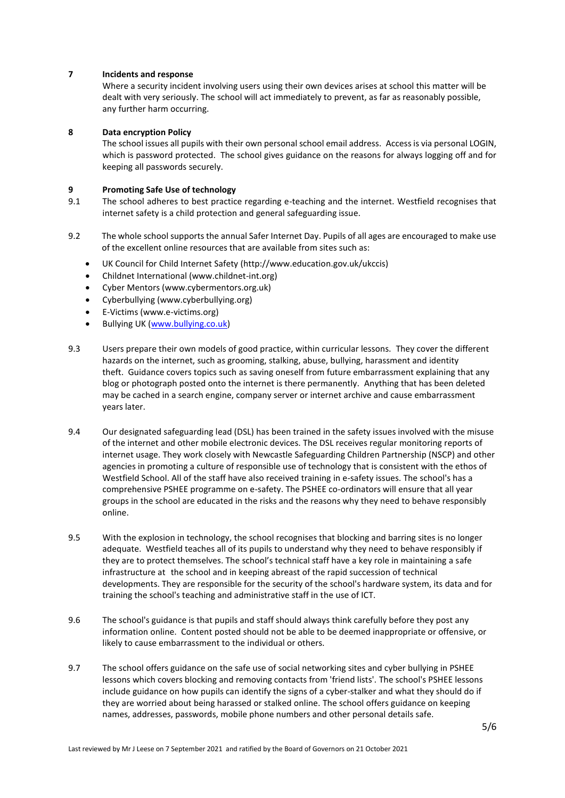# **7 Incidents and response**

Where a security incident involving users using their own devices arises at school this matter will be dealt with very seriously. The school will act immediately to prevent, as far as reasonably possible, any further harm occurring.

# **8 Data encryption Policy**

The school issues all pupils with their own personal school email address. Access is via personal LOGIN, which is password protected. The school gives guidance on the reasons for always logging off and for keeping all passwords securely.

# **9 Promoting Safe Use of technology**

- 9.1 The school adheres to best practice regarding e-teaching and the internet. Westfield recognises that internet safety is a child protection and general safeguarding issue.
- 9.2 The whole school supports the annual Safer Internet Day. Pupils of all ages are encouraged to make use of the excellent online resources that are available from sites such as:
	- UK Council for Child Internet Safety (http://www.education.gov.uk/ukccis)
	- Childnet International (www.childnet-int.org)
	- Cyber Mentors (www.cybermentors.org.uk)
	- Cyberbullying (www.cyberbullying.org)
	- E-Victims (www.e-victims.org)
	- Bullying UK [\(www.bullying.co.uk\)](http://www.bullying.co.uk/)
- 9.3 Users prepare their own models of good practice, within curricular lessons. They cover the different hazards on the internet, such as grooming, stalking, abuse, bullying, harassment and identity theft. Guidance covers topics such as saving oneself from future embarrassment explaining that any blog or photograph posted onto the internet is there permanently. Anything that has been deleted may be cached in a search engine, company server or internet archive and cause embarrassment years later.
- 9.4 Our designated safeguarding lead (DSL) has been trained in the safety issues involved with the misuse of the internet and other mobile electronic devices. The DSL receives regular monitoring reports of internet usage. They work closely with Newcastle Safeguarding Children Partnership (NSCP) and other agencies in promoting a culture of responsible use of technology that is consistent with the ethos of Westfield School. All of the staff have also received training in e-safety issues. The school's has a comprehensive PSHEE programme on e-safety. The PSHEE co-ordinators will ensure that all year groups in the school are educated in the risks and the reasons why they need to behave responsibly online.
- 9.5 With the explosion in technology, the school recognises that blocking and barring sites is no longer adequate. Westfield teaches all of its pupils to understand why they need to behave responsibly if they are to protect themselves. The school's technical staff have a key role in maintaining a safe infrastructure at the school and in keeping abreast of the rapid succession of technical developments. They are responsible for the security of the school's hardware system, its data and for training the school's teaching and administrative staff in the use of ICT.
- 9.6 The school's guidance is that pupils and staff should always think carefully before they post any information online. Content posted should not be able to be deemed inappropriate or offensive, or likely to cause embarrassment to the individual or others.
- 9.7 The school offers guidance on the safe use of social networking sites and cyber bullying in PSHEE lessons which covers blocking and removing contacts from 'friend lists'. The school's PSHEE lessons include guidance on how pupils can identify the signs of a cyber-stalker and what they should do if they are worried about being harassed or stalked online. The school offers guidance on keeping names, addresses, passwords, mobile phone numbers and other personal details safe.